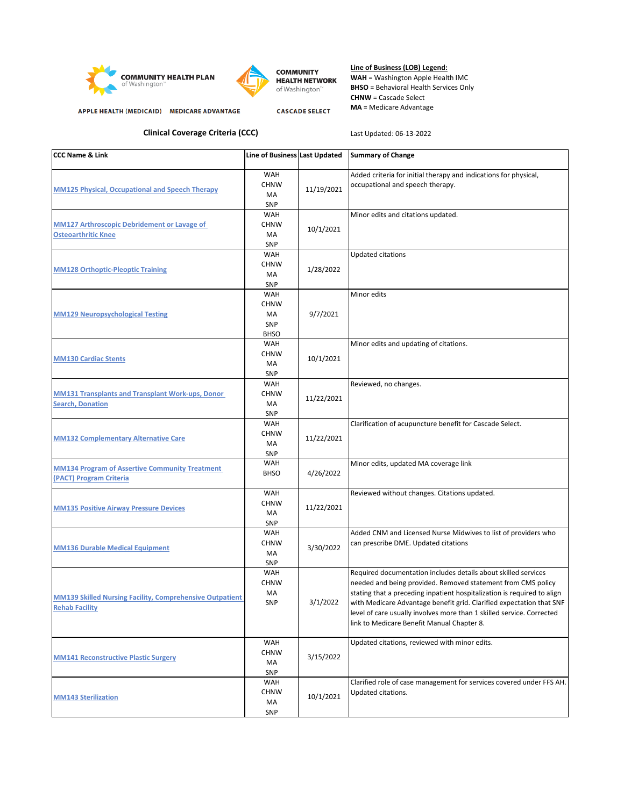





**CASCADE SELECT** 

## **Line of Business (LOB) Legend: WAH** = Washington Apple Health IMC

**BHSO** = Behavioral Health Services Only **CHNW** = Cascade Select **MA** = Medicare Advantage

APPLE HEALTH (MEDICAID) MEDICARE ADVANTAGE

**Clinical Coverage Criteria (CCC)**

Last Updated: 06-13-2022

| <b>CCC Name &amp; Link</b>                                                               | Line of Business Last Updated                                |            | <b>Summary of Change</b>                                                                                                                                                                                                                                                                                                                                                                                 |
|------------------------------------------------------------------------------------------|--------------------------------------------------------------|------------|----------------------------------------------------------------------------------------------------------------------------------------------------------------------------------------------------------------------------------------------------------------------------------------------------------------------------------------------------------------------------------------------------------|
| MM125 Physical, Occupational and Speech Therapy                                          | <b>WAH</b><br><b>CHNW</b><br>MA<br>SNP                       | 11/19/2021 | Added criteria for initial therapy and indications for physical,<br>occupational and speech therapy.                                                                                                                                                                                                                                                                                                     |
| <b>MM127 Arthroscopic Debridement or Lavage of</b><br><b>Osteoarthritic Knee</b>         | WAH<br><b>CHNW</b><br>MA<br><b>SNP</b>                       | 10/1/2021  | Minor edits and citations updated.                                                                                                                                                                                                                                                                                                                                                                       |
| <b>MM128 Orthoptic-Pleoptic Training</b>                                                 | <b>WAH</b><br><b>CHNW</b><br>MA<br><b>SNP</b>                | 1/28/2022  | Updated citations                                                                                                                                                                                                                                                                                                                                                                                        |
| <b>MM129 Neuropsychological Testing</b>                                                  | <b>WAH</b><br><b>CHNW</b><br>MA<br><b>SNP</b><br><b>BHSO</b> | 9/7/2021   | Minor edits                                                                                                                                                                                                                                                                                                                                                                                              |
| <b>MM130 Cardiac Stents</b>                                                              | WAH<br><b>CHNW</b><br>MA<br><b>SNP</b>                       | 10/1/2021  | Minor edits and updating of citations.                                                                                                                                                                                                                                                                                                                                                                   |
| <b>MM131 Transplants and Transplant Work-ups, Donor</b><br><b>Search, Donation</b>       | WAH<br><b>CHNW</b><br>MA<br>SNP                              | 11/22/2021 | Reviewed, no changes.                                                                                                                                                                                                                                                                                                                                                                                    |
| <b>MM132 Complementary Alternative Care</b>                                              | WAH<br><b>CHNW</b><br>MA<br>SNP                              | 11/22/2021 | Clarification of acupuncture benefit for Cascade Select.                                                                                                                                                                                                                                                                                                                                                 |
| <b>MM134 Program of Assertive Community Treatment</b><br>(PACT) Program Criteria         | <b>WAH</b><br><b>BHSO</b>                                    | 4/26/2022  | Minor edits, updated MA coverage link                                                                                                                                                                                                                                                                                                                                                                    |
| <b>MM135 Positive Airway Pressure Devices</b>                                            | <b>WAH</b><br><b>CHNW</b><br>MA<br>SNP                       | 11/22/2021 | Reviewed without changes. Citations updated.                                                                                                                                                                                                                                                                                                                                                             |
| <b>MM136 Durable Medical Equipment</b>                                                   | <b>WAH</b><br><b>CHNW</b><br>MA<br>SNP                       | 3/30/2022  | Added CNM and Licensed Nurse Midwives to list of providers who<br>can prescribe DME. Updated citations                                                                                                                                                                                                                                                                                                   |
| <b>MM139 Skilled Nursing Facility, Comprehensive Outpatient</b><br><b>Rehab Facility</b> | <b>WAH</b><br><b>CHNW</b><br>MA<br><b>SNP</b>                | 3/1/2022   | Required documentation includes details about skilled services<br>needed and being provided. Removed statement from CMS policy<br>stating that a preceding inpatient hospitalization is required to align<br>with Medicare Advantage benefit grid. Clarified expectation that SNF<br>level of care usually involves more than 1 skilled service. Corrected<br>link to Medicare Benefit Manual Chapter 8. |
| <b>MM141 Reconstructive Plastic Surgery</b>                                              | WAH<br><b>CHNW</b><br>MA<br>SNP                              | 3/15/2022  | Updated citations, reviewed with minor edits.                                                                                                                                                                                                                                                                                                                                                            |
| <b>MM143 Sterilization</b>                                                               | WAH<br><b>CHNW</b><br>MA<br>SNP                              | 10/1/2021  | Clarified role of case management for services covered under FFS AH.<br>Updated citations.                                                                                                                                                                                                                                                                                                               |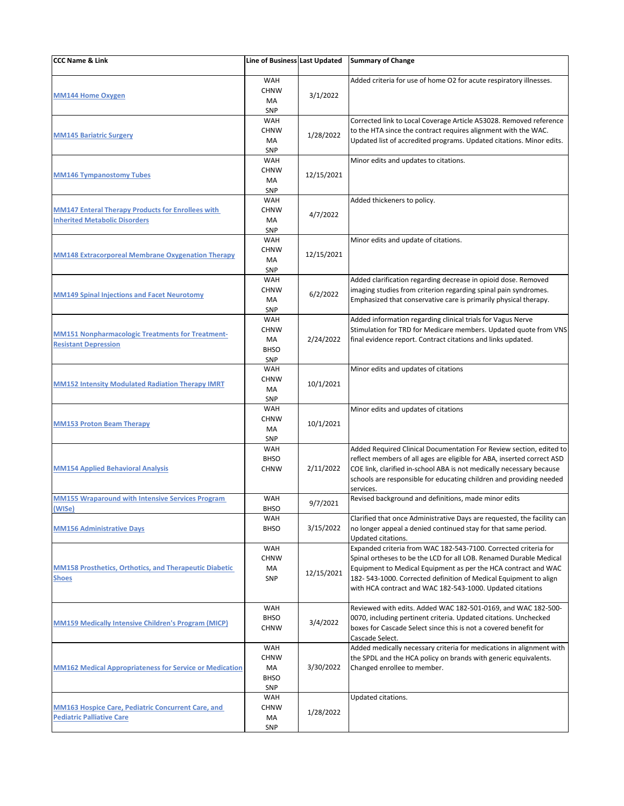| <b>CCC Name &amp; Link</b>                                                                       | Line of Business Last Updated                                |            | <b>Summary of Change</b>                                                                                                                                                                                                                                                                                                                 |
|--------------------------------------------------------------------------------------------------|--------------------------------------------------------------|------------|------------------------------------------------------------------------------------------------------------------------------------------------------------------------------------------------------------------------------------------------------------------------------------------------------------------------------------------|
| <b>MM144 Home Oxygen</b>                                                                         | WAH<br><b>CHNW</b><br>MA<br><b>SNP</b>                       | 3/1/2022   | Added criteria for use of home O2 for acute respiratory illnesses.                                                                                                                                                                                                                                                                       |
| <b>MM145 Bariatric Surgery</b>                                                                   | WAH<br><b>CHNW</b><br>MA<br><b>SNP</b>                       | 1/28/2022  | Corrected link to Local Coverage Article A53028. Removed reference<br>to the HTA since the contract requires alignment with the WAC.<br>Updated list of accredited programs. Updated citations. Minor edits.                                                                                                                             |
| <b>MM146 Tympanostomy Tubes</b>                                                                  | WAH<br><b>CHNW</b><br>МA<br>SNP                              | 12/15/2021 | Minor edits and updates to citations.                                                                                                                                                                                                                                                                                                    |
| <b>MM147 Enteral Therapy Products for Enrollees with</b><br><b>Inherited Metabolic Disorders</b> | <b>WAH</b><br><b>CHNW</b><br>MA<br><b>SNP</b>                | 4/7/2022   | Added thickeners to policy.                                                                                                                                                                                                                                                                                                              |
| <b>MM148 Extracorporeal Membrane Oxygenation Therapy</b>                                         | <b>WAH</b><br><b>CHNW</b><br>MA<br><b>SNP</b>                | 12/15/2021 | Minor edits and update of citations.                                                                                                                                                                                                                                                                                                     |
| <b>MM149 Spinal Injections and Facet Neurotomy</b>                                               | <b>WAH</b><br><b>CHNW</b><br>MA<br>SNP                       | 6/2/2022   | Added clarification regarding decrease in opioid dose. Removed<br>imaging studies from criterion regarding spinal pain syndromes.<br>Emphasized that conservative care is primarily physical therapy.                                                                                                                                    |
| <b>MM151 Nonpharmacologic Treatments for Treatment-</b><br><b>Resistant Depression</b>           | <b>WAH</b><br><b>CHNW</b><br>MA<br><b>BHSO</b><br><b>SNP</b> | 2/24/2022  | Added information regarding clinical trials for Vagus Nerve<br>Stimulation for TRD for Medicare members. Updated quote from VNS<br>final evidence report. Contract citations and links updated.                                                                                                                                          |
| <b>MM152 Intensity Modulated Radiation Therapy IMRT</b>                                          | <b>WAH</b><br><b>CHNW</b><br>MA<br>SNP                       | 10/1/2021  | Minor edits and updates of citations                                                                                                                                                                                                                                                                                                     |
| <b>MM153 Proton Beam Therapy</b>                                                                 | <b>WAH</b><br><b>CHNW</b><br>МA<br><b>SNP</b>                | 10/1/2021  | Minor edits and updates of citations                                                                                                                                                                                                                                                                                                     |
| <b>MM154 Applied Behavioral Analysis</b>                                                         | <b>WAH</b><br><b>BHSO</b><br><b>CHNW</b>                     | 2/11/2022  | Added Required Clinical Documentation For Review section, edited to<br>reflect members of all ages are eligible for ABA, inserted correct ASD<br>COE link, clarified in-school ABA is not medically necessary because<br>schools are responsible for educating children and providing needed<br>services.                                |
| <b>MM155 Wraparound with Intensive Services Program</b><br>(WISe)                                | <b>WAH</b><br><b>BHSO</b>                                    | 9/7/2021   | Revised background and definitions, made minor edits                                                                                                                                                                                                                                                                                     |
| <b>MM156 Administrative Days</b>                                                                 | WAH<br><b>BHSO</b>                                           | 3/15/2022  | Clarified that once Administrative Days are requested, the facility can<br>no longer appeal a denied continued stay for that same period.<br>Updated citations.                                                                                                                                                                          |
| <b>MM158 Prosthetics, Orthotics, and Therapeutic Diabetic</b><br><b>Shoes</b>                    | <b>WAH</b><br><b>CHNW</b><br>МA<br><b>SNP</b>                | 12/15/2021 | Expanded criteria from WAC 182-543-7100. Corrected criteria for<br>Spinal ortheses to be the LCD for all LOB. Renamed Durable Medical<br>Equipment to Medical Equipment as per the HCA contract and WAC<br>182-543-1000. Corrected definition of Medical Equipment to align<br>with HCA contract and WAC 182-543-1000. Updated citations |
| <b>MM159 Medically Intensive Children's Program (MICP)</b>                                       | WAH<br><b>BHSO</b><br><b>CHNW</b>                            | 3/4/2022   | Reviewed with edits. Added WAC 182-501-0169, and WAC 182-500-<br>0070, including pertinent criteria. Updated citations. Unchecked<br>boxes for Cascade Select since this is not a covered benefit for<br>Cascade Select.                                                                                                                 |
| <b>MM162 Medical Appropriateness for Service or Medication</b>                                   | WAH<br><b>CHNW</b><br>МA<br><b>BHSO</b><br>SNP               | 3/30/2022  | Added medically necessary criteria for medications in alignment with<br>the SPDL and the HCA policy on brands with generic equivalents.<br>Changed enrollee to member.                                                                                                                                                                   |
| <b>MM163 Hospice Care, Pediatric Concurrent Care, and</b><br><b>Pediatric Palliative Care</b>    | WAH<br><b>CHNW</b><br>МA<br>SNP                              | 1/28/2022  | Updated citations.                                                                                                                                                                                                                                                                                                                       |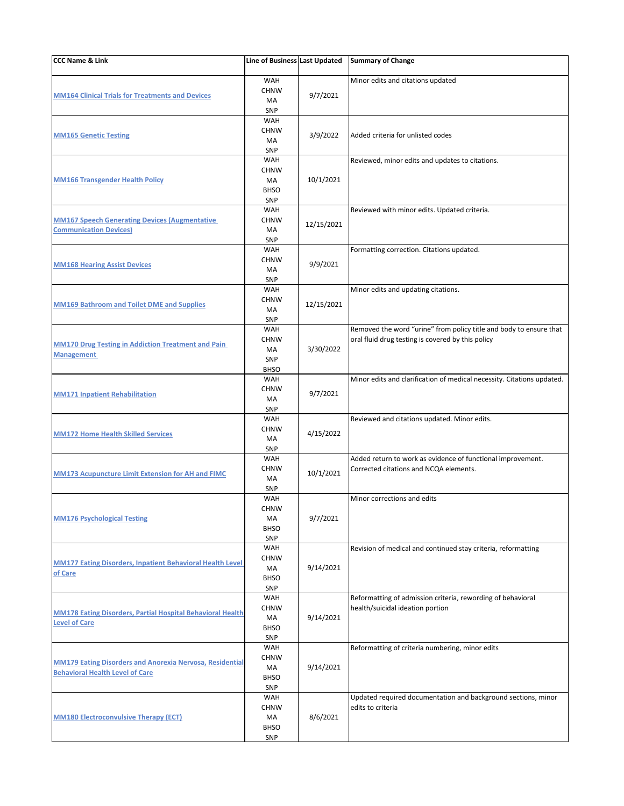| CCC Name & Link                                                                                           | Line of Business Last Updated                                |            | <b>Summary of Change</b>                                                                                                |
|-----------------------------------------------------------------------------------------------------------|--------------------------------------------------------------|------------|-------------------------------------------------------------------------------------------------------------------------|
| <b>MM164 Clinical Trials for Treatments and Devices</b>                                                   | WAH<br><b>CHNW</b><br>MA<br>SNP                              | 9/7/2021   | Minor edits and citations updated                                                                                       |
| <b>MM165 Genetic Testing</b>                                                                              | WAH<br><b>CHNW</b><br>MA<br>SNP                              | 3/9/2022   | Added criteria for unlisted codes                                                                                       |
| <b>MM166 Transgender Health Policy</b>                                                                    | <b>WAH</b><br><b>CHNW</b><br>MA<br><b>BHSO</b><br>SNP        | 10/1/2021  | Reviewed, minor edits and updates to citations.                                                                         |
| <b>MM167 Speech Generating Devices (Augmentative)</b><br><b>Communication Devices)</b>                    | WAH<br><b>CHNW</b><br>MA<br>SNP                              | 12/15/2021 | Reviewed with minor edits. Updated criteria.                                                                            |
| <b>MM168 Hearing Assist Devices</b>                                                                       | <b>WAH</b><br><b>CHNW</b><br>MA<br>SNP                       | 9/9/2021   | Formatting correction. Citations updated.                                                                               |
| <b>MM169 Bathroom and Toilet DME and Supplies</b>                                                         | WAH<br><b>CHNW</b><br>MA<br>SNP                              | 12/15/2021 | Minor edits and updating citations.                                                                                     |
| <b>MM170 Drug Testing in Addiction Treatment and Pain</b><br><b>Management</b>                            | <b>WAH</b><br><b>CHNW</b><br>MA<br>SNP<br><b>BHSO</b>        | 3/30/2022  | Removed the word "urine" from policy title and body to ensure that<br>oral fluid drug testing is covered by this policy |
| <b>MM171 Inpatient Rehabilitation</b>                                                                     | WAH<br><b>CHNW</b><br>MA<br>SNP                              | 9/7/2021   | Minor edits and clarification of medical necessity. Citations updated.                                                  |
| <b>MM172 Home Health Skilled Services</b>                                                                 | <b>WAH</b><br><b>CHNW</b><br>MA<br><b>SNP</b>                | 4/15/2022  | Reviewed and citations updated. Minor edits.                                                                            |
| <b>MM173 Acupuncture Limit Extension for AH and FIMC</b>                                                  | WAH<br><b>CHNW</b><br>MA<br>SNP                              | 10/1/2021  | Added return to work as evidence of functional improvement.<br>Corrected citations and NCQA elements.                   |
| <b>MM176 Psychological Testing</b>                                                                        | <b>WAH</b><br><b>CHNW</b><br>МA<br><b>BHSO</b><br><b>SNP</b> | 9/7/2021   | Minor corrections and edits                                                                                             |
| <b>MM177 Eating Disorders, Inpatient Behavioral Health Level</b><br>of Care                               | WAH<br><b>CHNW</b><br>MA<br><b>BHSO</b><br>SNP               | 9/14/2021  | Revision of medical and continued stay criteria, reformatting                                                           |
| <b>MM178 Eating Disorders, Partial Hospital Behavioral Health</b><br><b>Level of Care</b>                 | WAH<br><b>CHNW</b><br>MA<br><b>BHSO</b><br><b>SNP</b>        | 9/14/2021  | Reformatting of admission criteria, rewording of behavioral<br>health/suicidal ideation portion                         |
| <b>MM179 Eating Disorders and Anorexia Nervosa, Residential</b><br><b>Behavioral Health Level of Care</b> | <b>WAH</b><br><b>CHNW</b><br>MA<br><b>BHSO</b><br>SNP        | 9/14/2021  | Reformatting of criteria numbering, minor edits                                                                         |
| <b>MM180 Electroconvulsive Therapy (ECT)</b>                                                              | WAH<br><b>CHNW</b><br>MA<br><b>BHSO</b><br>SNP               | 8/6/2021   | Updated required documentation and background sections, minor<br>edits to criteria                                      |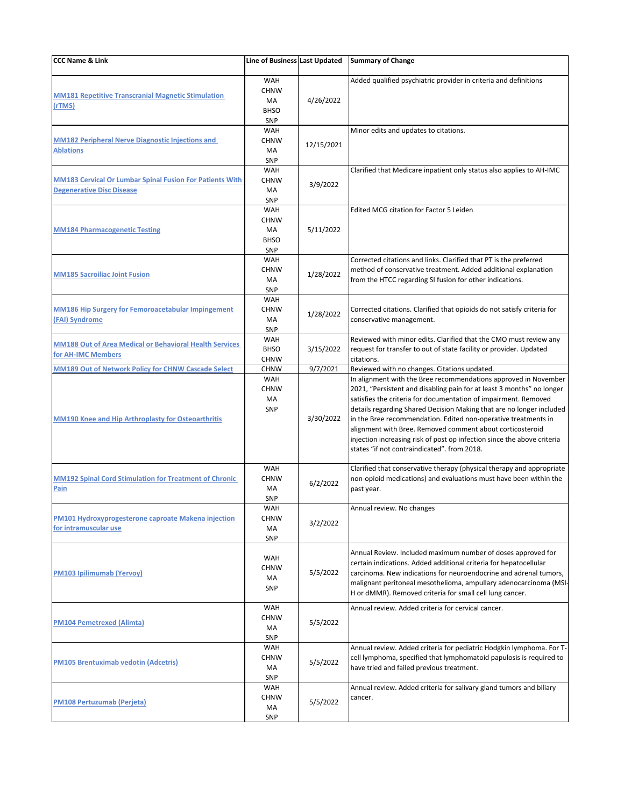| <b>CCC Name &amp; Link</b>                                                                                       | Line of Business Last Updated                                |                       | <b>Summary of Change</b>                                                                                                                                                                                                                                                                                                                                                                                                                                                                                                                                                                     |
|------------------------------------------------------------------------------------------------------------------|--------------------------------------------------------------|-----------------------|----------------------------------------------------------------------------------------------------------------------------------------------------------------------------------------------------------------------------------------------------------------------------------------------------------------------------------------------------------------------------------------------------------------------------------------------------------------------------------------------------------------------------------------------------------------------------------------------|
| <b>MM181 Repetitive Transcranial Magnetic Stimulation</b><br>(rTMS)                                              | <b>WAH</b><br><b>CHNW</b><br>MA<br><b>BHSO</b><br>SNP        | 4/26/2022             | Added qualified psychiatric provider in criteria and definitions                                                                                                                                                                                                                                                                                                                                                                                                                                                                                                                             |
| <b>MM182 Peripheral Nerve Diagnostic Injections and</b><br><b>Ablations</b>                                      | <b>WAH</b><br><b>CHNW</b><br>MA<br><b>SNP</b>                | 12/15/2021            | Minor edits and updates to citations.                                                                                                                                                                                                                                                                                                                                                                                                                                                                                                                                                        |
| <b>MM183 Cervical Or Lumbar Spinal Fusion For Patients With</b><br><b>Degenerative Disc Disease</b>              | <b>WAH</b><br><b>CHNW</b><br>MA<br><b>SNP</b>                | 3/9/2022              | Clarified that Medicare inpatient only status also applies to AH-IMC                                                                                                                                                                                                                                                                                                                                                                                                                                                                                                                         |
| <b>MM184 Pharmacogenetic Testing</b>                                                                             | WAH<br><b>CHNW</b><br><b>MA</b><br><b>BHSO</b><br>SNP        | 5/11/2022             | <b>Edited MCG citation for Factor 5 Leiden</b>                                                                                                                                                                                                                                                                                                                                                                                                                                                                                                                                               |
| <b>MM185 Sacroiliac Joint Fusion</b>                                                                             | <b>WAH</b><br><b>CHNW</b><br>MA<br>SNP                       | 1/28/2022             | Corrected citations and links. Clarified that PT is the preferred<br>method of conservative treatment. Added additional explanation<br>from the HTCC regarding SI fusion for other indications.                                                                                                                                                                                                                                                                                                                                                                                              |
| <b>MM186 Hip Surgery for Femoroacetabular Impingement</b><br>(FAI) Syndrome                                      | <b>WAH</b><br><b>CHNW</b><br>МA<br>SNP                       | 1/28/2022             | Corrected citations. Clarified that opioids do not satisfy criteria for<br>conservative management.                                                                                                                                                                                                                                                                                                                                                                                                                                                                                          |
| <b>MM188 Out of Area Medical or Behavioral Health Services</b><br>for AH-IMC Members                             | <b>WAH</b><br><b>BHSO</b><br><b>CHNW</b>                     | 3/15/2022             | Reviewed with minor edits. Clarified that the CMO must review any<br>request for transfer to out of state facility or provider. Updated<br>citations.                                                                                                                                                                                                                                                                                                                                                                                                                                        |
| MM189 Out of Network Policy for CHNW Cascade Select<br><b>MM190 Knee and Hip Arthroplasty for Osteoarthritis</b> | <b>CHNW</b><br><b>WAH</b><br><b>CHNW</b><br>MA<br><b>SNP</b> | 9/7/2021<br>3/30/2022 | Reviewed with no changes. Citations updated.<br>In alignment with the Bree recommendations approved in November<br>2021, "Persistent and disabling pain for at least 3 months" no longer<br>satisfies the criteria for documentation of impairment. Removed<br>details regarding Shared Decision Making that are no longer included<br>in the Bree recommendation. Edited non-operative treatments in<br>alignment with Bree. Removed comment about corticosteroid<br>injection increasing risk of post op infection since the above criteria<br>states "if not contraindicated". from 2018. |
| <b>MM192 Spinal Cord Stimulation for Treatment of Chronic</b><br><u>Pain</u>                                     | <b>WAH</b><br><b>CHNW</b><br>MA<br>SNP                       | 6/2/2022              | Clarified that conservative therapy (physical therapy and appropriate<br>non-opioid medications) and evaluations must have been within the<br>past year.                                                                                                                                                                                                                                                                                                                                                                                                                                     |
| PM101 Hydroxyprogesterone caproate Makena injection<br>for intramuscular use                                     | WAH<br><b>CHNW</b><br>MA<br><b>SNP</b>                       | 3/2/2022              | Annual review. No changes                                                                                                                                                                                                                                                                                                                                                                                                                                                                                                                                                                    |
| <b>PM103 Ipilimumab (Yervoy)</b>                                                                                 | <b>WAH</b><br><b>CHNW</b><br>MA<br><b>SNP</b>                | 5/5/2022              | Annual Review. Included maximum number of doses approved for<br>certain indications. Added additional criteria for hepatocellular<br>carcinoma. New indications for neuroendocrine and adrenal tumors,<br>malignant peritoneal mesothelioma, ampullary adenocarcinoma (MSI-<br>H or dMMR). Removed criteria for small cell lung cancer.                                                                                                                                                                                                                                                      |
| <u>PM104 Pemetrexed (Alimta)</u>                                                                                 | <b>WAH</b><br><b>CHNW</b><br>MA<br>SNP                       | 5/5/2022              | Annual review. Added criteria for cervical cancer.                                                                                                                                                                                                                                                                                                                                                                                                                                                                                                                                           |
| <b>PM105 Brentuximab vedotin (Adcetris)</b>                                                                      | WAH<br><b>CHNW</b><br>МA<br>SNP                              | 5/5/2022              | Annual review. Added criteria for pediatric Hodgkin lymphoma. For T-<br>cell lymphoma, specified that lymphomatoid papulosis is required to<br>have tried and failed previous treatment.                                                                                                                                                                                                                                                                                                                                                                                                     |
| <b>PM108 Pertuzumab (Perjeta)</b>                                                                                | <b>WAH</b><br><b>CHNW</b><br>МA<br><b>SNP</b>                | 5/5/2022              | Annual review. Added criteria for salivary gland tumors and biliary<br>cancer.                                                                                                                                                                                                                                                                                                                                                                                                                                                                                                               |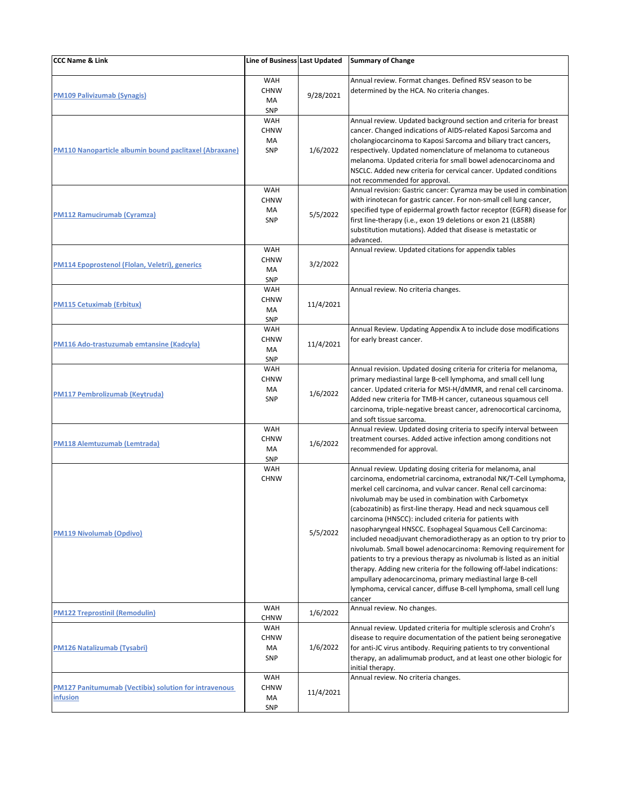| <b>CCC Name &amp; Link</b>                                               | Line of Business Last Updated                 |           | <b>Summary of Change</b>                                                                                                                                                                                                                                                                                                                                                                                                                                                                                                                                                                                                                                                                                                                                                                                                                                                                          |
|--------------------------------------------------------------------------|-----------------------------------------------|-----------|---------------------------------------------------------------------------------------------------------------------------------------------------------------------------------------------------------------------------------------------------------------------------------------------------------------------------------------------------------------------------------------------------------------------------------------------------------------------------------------------------------------------------------------------------------------------------------------------------------------------------------------------------------------------------------------------------------------------------------------------------------------------------------------------------------------------------------------------------------------------------------------------------|
| <b>PM109 Palivizumab (Synagis)</b>                                       | WAH<br><b>CHNW</b><br>MA<br><b>SNP</b>        | 9/28/2021 | Annual review. Format changes. Defined RSV season to be<br>determined by the HCA. No criteria changes.                                                                                                                                                                                                                                                                                                                                                                                                                                                                                                                                                                                                                                                                                                                                                                                            |
| <b>PM110 Nanoparticle albumin bound paclitaxel (Abraxane)</b>            | <b>WAH</b><br><b>CHNW</b><br>MA<br><b>SNP</b> | 1/6/2022  | Annual review. Updated background section and criteria for breast<br>cancer. Changed indications of AIDS-related Kaposi Sarcoma and<br>cholangiocarcinoma to Kaposi Sarcoma and biliary tract cancers,<br>respectively. Updated nomenclature of melanoma to cutaneous<br>melanoma. Updated criteria for small bowel adenocarcinoma and<br>NSCLC. Added new criteria for cervical cancer. Updated conditions<br>not recommended for approval.                                                                                                                                                                                                                                                                                                                                                                                                                                                      |
| <b>PM112 Ramucirumab (Cyramza)</b>                                       | <b>WAH</b><br><b>CHNW</b><br>MA<br><b>SNP</b> | 5/5/2022  | Annual revision: Gastric cancer: Cyramza may be used in combination<br>with irinotecan for gastric cancer. For non-small cell lung cancer,<br>specified type of epidermal growth factor receptor (EGFR) disease for<br>first line-therapy (i.e., exon 19 deletions or exon 21 (L858R)<br>substitution mutations). Added that disease is metastatic or<br>advanced.                                                                                                                                                                                                                                                                                                                                                                                                                                                                                                                                |
| PM114 Epoprostenol (Flolan, Veletri), generics                           | <b>WAH</b><br><b>CHNW</b><br>MA<br><b>SNP</b> | 3/2/2022  | Annual review. Updated citations for appendix tables                                                                                                                                                                                                                                                                                                                                                                                                                                                                                                                                                                                                                                                                                                                                                                                                                                              |
| <b>PM115 Cetuximab (Erbitux)</b>                                         | <b>WAH</b><br><b>CHNW</b><br>MA<br><b>SNP</b> | 11/4/2021 | Annual review. No criteria changes.                                                                                                                                                                                                                                                                                                                                                                                                                                                                                                                                                                                                                                                                                                                                                                                                                                                               |
| PM116 Ado-trastuzumab emtansine (Kadcyla)                                | <b>WAH</b><br><b>CHNW</b><br>MA<br><b>SNP</b> | 11/4/2021 | Annual Review. Updating Appendix A to include dose modifications<br>for early breast cancer.                                                                                                                                                                                                                                                                                                                                                                                                                                                                                                                                                                                                                                                                                                                                                                                                      |
| <b>PM117 Pembrolizumab (Keytruda)</b>                                    | WAH<br><b>CHNW</b><br>MA<br><b>SNP</b>        | 1/6/2022  | Annual revision. Updated dosing criteria for criteria for melanoma,<br>primary mediastinal large B-cell lymphoma, and small cell lung<br>cancer. Updated criteria for MSI-H/dMMR, and renal cell carcinoma.<br>Added new criteria for TMB-H cancer, cutaneous squamous cell<br>carcinoma, triple-negative breast cancer, adrenocortical carcinoma,<br>and soft tissue sarcoma.                                                                                                                                                                                                                                                                                                                                                                                                                                                                                                                    |
| <b>PM118 Alemtuzumab (Lemtrada)</b>                                      | <b>WAH</b><br><b>CHNW</b><br>MA<br><b>SNP</b> | 1/6/2022  | Annual review. Updated dosing criteria to specify interval between<br>treatment courses. Added active infection among conditions not<br>recommended for approval.                                                                                                                                                                                                                                                                                                                                                                                                                                                                                                                                                                                                                                                                                                                                 |
| <b>PM119 Nivolumab (Opdivo)</b>                                          | <b>WAH</b><br><b>CHNW</b>                     | 5/5/2022  | Annual review. Updating dosing criteria for melanoma, anal<br>carcinoma, endometrial carcinoma, extranodal NK/T-Cell Lymphoma,<br>merkel cell carcinoma, and vulvar cancer. Renal cell carcinoma:<br>nivolumab may be used in combination with Carbometyx<br>(cabozatinib) as first-line therapy. Head and neck squamous cell<br>carcinoma (HNSCC): included criteria for patients with<br>nasopharyngeal HNSCC. Esophageal Squamous Cell Carcinoma:<br>included neoadjuvant chemoradiotherapy as an option to try prior to<br>nivolumab. Small bowel adenocarcinoma: Removing requirement for<br>patients to try a previous therapy as nivolumab is listed as an initial<br>therapy. Adding new criteria for the following off-label indications:<br>ampullary adenocarcinoma, primary mediastinal large B-cell<br>lymphoma, cervical cancer, diffuse B-cell lymphoma, small cell lung<br>cancer |
| <b>PM122 Treprostinil (Remodulin)</b>                                    | <b>WAH</b><br><b>CHNW</b>                     | 1/6/2022  | Annual review. No changes.                                                                                                                                                                                                                                                                                                                                                                                                                                                                                                                                                                                                                                                                                                                                                                                                                                                                        |
| <b>PM126 Natalizumab (Tysabri)</b>                                       | <b>WAH</b><br><b>CHNW</b><br>МA<br><b>SNP</b> | 1/6/2022  | Annual review. Updated criteria for multiple sclerosis and Crohn's<br>disease to require documentation of the patient being seronegative<br>for anti-JC virus antibody. Requiring patients to try conventional<br>therapy, an adalimumab product, and at least one other biologic for<br>initial therapy.                                                                                                                                                                                                                                                                                                                                                                                                                                                                                                                                                                                         |
| <b>PM127 Panitumumab (Vectibix) solution for intravenous</b><br>infusion | <b>WAH</b><br><b>CHNW</b><br>MA<br>SNP        | 11/4/2021 | Annual review. No criteria changes.                                                                                                                                                                                                                                                                                                                                                                                                                                                                                                                                                                                                                                                                                                                                                                                                                                                               |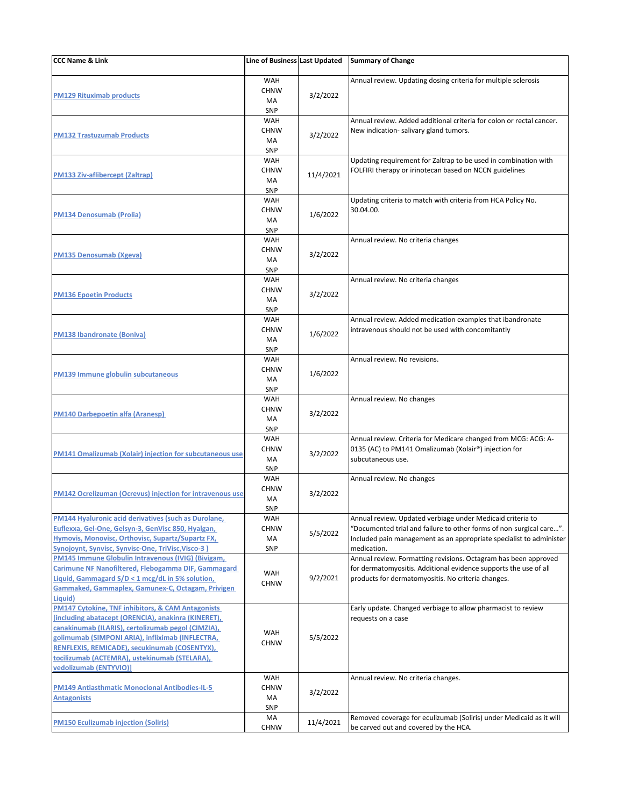| <b>CCC Name &amp; Link</b>                                                                                                                                                                                                                                                                                                                                | Line of Business Last Updated                 |           | <b>Summary of Change</b>                                                                                                                                                                                                |
|-----------------------------------------------------------------------------------------------------------------------------------------------------------------------------------------------------------------------------------------------------------------------------------------------------------------------------------------------------------|-----------------------------------------------|-----------|-------------------------------------------------------------------------------------------------------------------------------------------------------------------------------------------------------------------------|
| <b>PM129 Rituximab products</b>                                                                                                                                                                                                                                                                                                                           | <b>WAH</b><br><b>CHNW</b><br>МA<br><b>SNP</b> | 3/2/2022  | Annual review. Updating dosing criteria for multiple sclerosis                                                                                                                                                          |
| <b>PM132 Trastuzumab Products</b>                                                                                                                                                                                                                                                                                                                         | <b>WAH</b><br><b>CHNW</b><br>MA<br><b>SNP</b> | 3/2/2022  | Annual review. Added additional criteria for colon or rectal cancer.<br>New indication- salivary gland tumors.                                                                                                          |
| <b>PM133 Ziv-aflibercept (Zaltrap)</b>                                                                                                                                                                                                                                                                                                                    | <b>WAH</b><br><b>CHNW</b><br>MA<br><b>SNP</b> | 11/4/2021 | Updating requirement for Zaltrap to be used in combination with<br>FOLFIRI therapy or irinotecan based on NCCN guidelines                                                                                               |
| <b>PM134 Denosumab (Prolia)</b>                                                                                                                                                                                                                                                                                                                           | <b>WAH</b><br><b>CHNW</b><br>MA<br><b>SNP</b> | 1/6/2022  | Updating criteria to match with criteria from HCA Policy No.<br>30.04.00.                                                                                                                                               |
| <b>PM135 Denosumab (Xgeva)</b>                                                                                                                                                                                                                                                                                                                            | <b>WAH</b><br><b>CHNW</b><br>MA<br><b>SNP</b> | 3/2/2022  | Annual review. No criteria changes                                                                                                                                                                                      |
| <b>PM136 Epoetin Products</b>                                                                                                                                                                                                                                                                                                                             | WAH<br><b>CHNW</b><br><b>MA</b><br><b>SNP</b> | 3/2/2022  | Annual review. No criteria changes                                                                                                                                                                                      |
| <b>PM138 Ibandronate (Boniva)</b>                                                                                                                                                                                                                                                                                                                         | <b>WAH</b><br><b>CHNW</b><br>MA<br>SNP        | 1/6/2022  | Annual review. Added medication examples that ibandronate<br>intravenous should not be used with concomitantly                                                                                                          |
| <b>PM139 Immune globulin subcutaneous</b>                                                                                                                                                                                                                                                                                                                 | <b>WAH</b><br><b>CHNW</b><br>MA<br><b>SNP</b> | 1/6/2022  | Annual review. No revisions.                                                                                                                                                                                            |
| <b>PM140 Darbepoetin alfa (Aranesp)</b>                                                                                                                                                                                                                                                                                                                   | <b>WAH</b><br><b>CHNW</b><br>MA<br>SNP        | 3/2/2022  | Annual review. No changes                                                                                                                                                                                               |
| <b>PM141 Omalizumab (Xolair) injection for subcutaneous use</b>                                                                                                                                                                                                                                                                                           | <b>WAH</b><br><b>CHNW</b><br>MA<br><b>SNP</b> | 3/2/2022  | Annual review. Criteria for Medicare changed from MCG: ACG: A-<br>0135 (AC) to PM141 Omalizumab (Xolair®) injection for<br>subcutaneous use.                                                                            |
| <b>PM142 Ocrelizuman (Ocrevus) injection for intravenous use</b>                                                                                                                                                                                                                                                                                          | <b>WAH</b><br><b>CHNW</b><br>MA<br><b>SNP</b> | 3/2/2022  | Annual review. No changes                                                                                                                                                                                               |
| PM144 Hyaluronic acid derivatives (such as Durolane,<br>Euflexxa, Gel-One, Gelsyn-3, GenVisc 850, Hyalgan,<br>Hymovis, Monovisc, Orthovisc, Supartz/Supartz FX,<br>Synojoynt, Synvisc, Synvisc-One, TriVisc, Visco-3)                                                                                                                                     | <b>WAH</b><br><b>CHNW</b><br>MA<br><b>SNP</b> | 5/5/2022  | Annual review. Updated verbiage under Medicaid criteria to<br>"Documented trial and failure to other forms of non-surgical care".<br>Included pain management as an appropriate specialist to administer<br>medication. |
| <b>PM145 Immune Globulin Intravenous (IVIG) (Bivigam,</b><br>Carimune NF Nanofiltered, Flebogamma DIF, Gammagard<br>Liquid, Gammagard S/D < 1 mcg/dL in 5% solution,<br>Gammaked, Gammaplex, Gamunex-C, Octagam, Privigen<br>Liquid)                                                                                                                      | WAH<br><b>CHNW</b>                            | 9/2/2021  | Annual review. Formatting revisions. Octagram has been approved<br>for dermatomyositis. Additional evidence supports the use of all<br>products for dermatomyositis. No criteria changes.                               |
| <b>PM147 Cytokine, TNF inhibitors, &amp; CAM Antagonists</b><br>[including abatacept (ORENCIA), anakinra (KINERET),<br>canakinumab (ILARIS), certolizumab pegol (CIMZIA),<br>golimumab (SIMPONI ARIA), infliximab (INFLECTRA,<br>RENFLEXIS, REMICADE), secukinumab (COSENTYX),<br>tocilizumab (ACTEMRA), ustekinumab (STELARA),<br>vedolizumab (ENTYVIO)] | WAH<br><b>CHNW</b>                            | 5/5/2022  | Early update. Changed verbiage to allow pharmacist to review<br>requests on a case                                                                                                                                      |
| <b>PM149 Antiasthmatic Monoclonal Antibodies-IL-5</b><br><b>Antagonists</b>                                                                                                                                                                                                                                                                               | WAH<br><b>CHNW</b><br>MA<br><b>SNP</b>        | 3/2/2022  | Annual review. No criteria changes.                                                                                                                                                                                     |
| <b>PM150 Eculizumab injection (Soliris)</b>                                                                                                                                                                                                                                                                                                               | MA<br><b>CHNW</b>                             | 11/4/2021 | Removed coverage for eculizumab (Soliris) under Medicaid as it will<br>be carved out and covered by the HCA.                                                                                                            |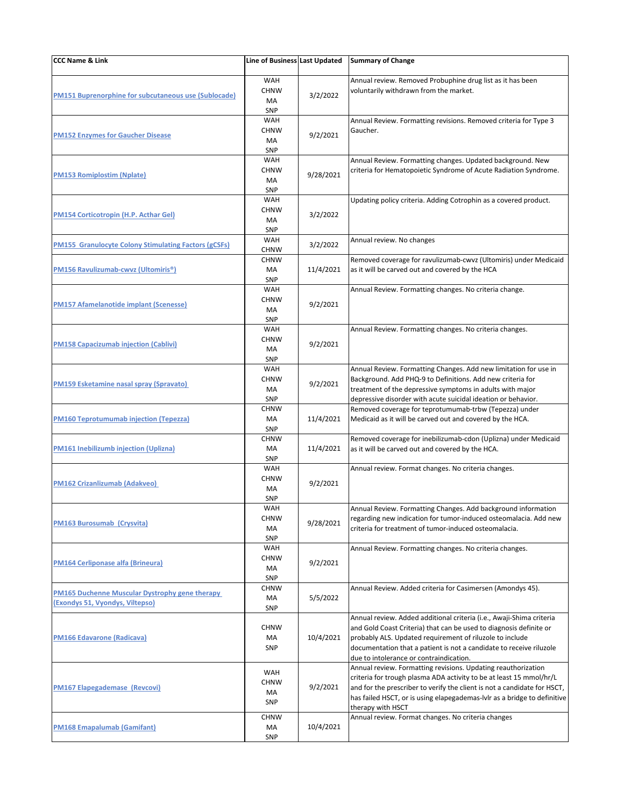| <b>CCC Name &amp; Link</b>                                                                      | Line of Business Last Updated                 |           | <b>Summary of Change</b>                                                                                                                                                                                                                                                                                                 |
|-------------------------------------------------------------------------------------------------|-----------------------------------------------|-----------|--------------------------------------------------------------------------------------------------------------------------------------------------------------------------------------------------------------------------------------------------------------------------------------------------------------------------|
| <b>PM151 Buprenorphine for subcutaneous use (Sublocade)</b>                                     | WAH<br><b>CHNW</b><br>MA<br><b>SNP</b>        | 3/2/2022  | Annual review. Removed Probuphine drug list as it has been<br>voluntarily withdrawn from the market.                                                                                                                                                                                                                     |
| <b>PM152 Enzymes for Gaucher Disease</b>                                                        | <b>WAH</b><br><b>CHNW</b><br>MA<br><b>SNP</b> | 9/2/2021  | Annual Review. Formatting revisions. Removed criteria for Type 3<br>Gaucher.                                                                                                                                                                                                                                             |
| <b>PM153 Romiplostim (Nplate)</b>                                                               | <b>WAH</b><br><b>CHNW</b><br>MA<br><b>SNP</b> | 9/28/2021 | Annual Review. Formatting changes. Updated background. New<br>criteria for Hematopoietic Syndrome of Acute Radiation Syndrome.                                                                                                                                                                                           |
| <b>PM154 Corticotropin (H.P. Acthar Gel)</b>                                                    | WAH<br><b>CHNW</b><br>MA<br><b>SNP</b>        | 3/2/2022  | Updating policy criteria. Adding Cotrophin as a covered product.                                                                                                                                                                                                                                                         |
| <b>PM155 Granulocyte Colony Stimulating Factors (gCSFs)</b>                                     | WAH<br><b>CHNW</b>                            | 3/2/2022  | Annual review. No changes                                                                                                                                                                                                                                                                                                |
| <b>PM156 Ravulizumab-cwvz (Ultomiris<sup>®</sup>)</b>                                           | <b>CHNW</b><br>MA<br>SNP                      | 11/4/2021 | Removed coverage for ravulizumab-cwvz (Ultomiris) under Medicaid<br>as it will be carved out and covered by the HCA                                                                                                                                                                                                      |
| <b>PM157 Afamelanotide implant (Scenesse)</b>                                                   | WAH<br><b>CHNW</b><br>MA<br><b>SNP</b>        | 9/2/2021  | Annual Review. Formatting changes. No criteria change.                                                                                                                                                                                                                                                                   |
| <b>PM158 Capacizumab injection (Cablivi)</b>                                                    | <b>WAH</b><br><b>CHNW</b><br>МA<br><b>SNP</b> | 9/2/2021  | Annual Review. Formatting changes. No criteria changes.                                                                                                                                                                                                                                                                  |
| <b>PM159 Esketamine nasal spray (Spravato)</b>                                                  | <b>WAH</b><br><b>CHNW</b><br>MA<br><b>SNP</b> | 9/2/2021  | Annual Review. Formatting Changes. Add new limitation for use in<br>Background. Add PHQ-9 to Definitions. Add new criteria for<br>treatment of the depressive symptoms in adults with major<br>depressive disorder with acute suicidal ideation or behavior.                                                             |
| <u>PM160 Teprotumumab injection (Tepezza)</u>                                                   | <b>CHNW</b><br>MA<br>SNP                      | 11/4/2021 | Removed coverage for teprotumumab-trbw (Tepezza) under<br>Medicaid as it will be carved out and covered by the HCA.                                                                                                                                                                                                      |
| <b>PM161 Inebilizumb injection (Uplizna)</b>                                                    | <b>CHNW</b><br>MA<br><b>SNP</b>               | 11/4/2021 | Removed coverage for inebilizumab-cdon (Uplizna) under Medicaid<br>as it will be carved out and covered by the HCA.                                                                                                                                                                                                      |
| <b>PM162 Crizanlizumab (Adakveo)</b>                                                            | <b>WAH</b><br><b>CHNW</b><br>MA<br><b>SNP</b> | 9/2/2021  | Annual review. Format changes. No criteria changes.                                                                                                                                                                                                                                                                      |
| <b>PM163 Burosumab (Crysvita)</b>                                                               | <b>WAH</b><br><b>CHNW</b><br>MA<br><b>SNP</b> | 9/28/2021 | Annual Review. Formatting Changes. Add background information<br>regarding new indication for tumor-induced osteomalacia. Add new<br>criteria for treatment of tumor-induced osteomalacia.                                                                                                                               |
| <b>PM164 Cerliponase alfa (Brineura)</b>                                                        | WAH<br><b>CHNW</b><br>MA<br>SNP               | 9/2/2021  | Annual Review. Formatting changes. No criteria changes.                                                                                                                                                                                                                                                                  |
| <b>PM165 Duchenne Muscular Dystrophy gene therapy</b><br><b>(Exondys 51, Vyondys, Viltepso)</b> | <b>CHNW</b><br>MA<br>SNP                      | 5/5/2022  | Annual Review. Added criteria for Casimersen (Amondys 45).                                                                                                                                                                                                                                                               |
| <b>PM166 Edavarone (Radicava)</b>                                                               | <b>CHNW</b><br>MA<br><b>SNP</b>               | 10/4/2021 | Annual review. Added additional criteria (i.e., Awaji-Shima criteria<br>and Gold Coast Criteria) that can be used to diagnosis definite or<br>probably ALS. Updated requirement of riluzole to include<br>documentation that a patient is not a candidate to receive riluzole<br>due to intolerance or contraindication. |
| <b>PM167 Elapegademase (Revcovi)</b>                                                            | WAH<br><b>CHNW</b><br>MA<br><b>SNP</b>        | 9/2/2021  | Annual review. Formatting revisions. Updating reauthorization<br>criteria for trough plasma ADA activity to be at least 15 mmol/hr/L<br>and for the prescriber to verify the client is not a candidate for HSCT,<br>has failed HSCT, or is using elapegademas-lvlr as a bridge to definitive<br>therapy with HSCT        |
| PM168 Emapalumab (Gamifant)                                                                     | <b>CHNW</b><br>MA<br>SNP                      | 10/4/2021 | Annual review. Format changes. No criteria changes                                                                                                                                                                                                                                                                       |